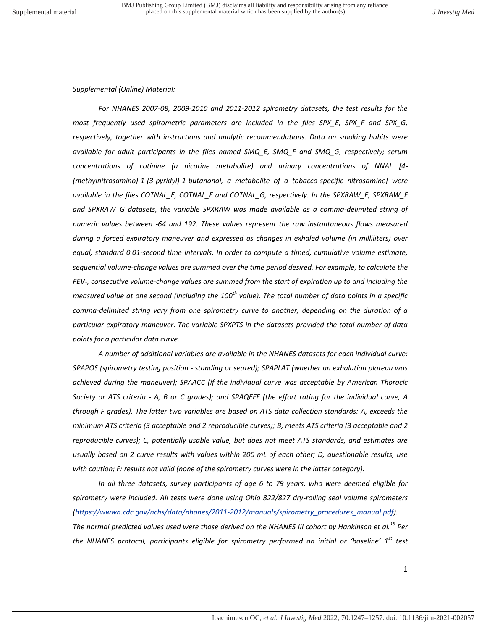## *Supplemental (Online) Material:*

*For NHANES 2007-08, 2009-2010 and 2011-2012 spirometry datasets, the test results for the most frequently used spirometric parameters are included in the files SPX\_E, SPX\_F and SPX\_G, respectively, together with instructions and analytic recommendations. Data on smoking habits were available for adult participants in the files named SMQ\_E, SMQ\_F and SMQ\_G, respectively; serum concentrations of cotinine (a nicotine metabolite) and urinary concentrations of NNAL [4- (methylnitrosamino)-1-(3-pyridyl)-1-butanonol, a metabolite of a tobacco-specific nitrosamine] were available in the files COTNAL\_E, COTNAL\_F and COTNAL\_G, respectively. In the SPXRAW\_E, SPXRAW\_F and SPXRAW\_G datasets, the variable SPXRAW was made available as a comma-delimited string of numeric values between -64 and 192. These values represent the raw instantaneous flows measured during a forced expiratory maneuver and expressed as changes in exhaled volume (in milliliters) over equal, standard 0.01-second time intervals. In order to compute a timed, cumulative volume estimate, sequential volume-change values are summed over the time period desired. For example, to calculate the FEV1, consecutive volume-change values are summed from the start of expiration up to and including the measured value at one second (including the 100th value). The total number of data points in a specific comma-delimited string vary from one spirometry curve to another, depending on the duration of a particular expiratory maneuver. The variable SPXPTS in the datasets provided the total number of data points for a particular data curve.* 

*A number of additional variables are available in the NHANES datasets for each individual curve: SPAPOS (spirometry testing position - standing or seated); SPAPLAT (whether an exhalation plateau was achieved during the maneuver); SPAACC (if the individual curve was acceptable by American Thoracic Society or ATS criteria - A, B or C grades); and SPAQEFF (the effort rating for the individual curve, A through F grades). The latter two variables are based on ATS data collection standards: A, exceeds the minimum ATS criteria (3 acceptable and 2 reproducible curves); B, meets ATS criteria (3 acceptable and 2 reproducible curves); C, potentially usable value, but does not meet ATS standards, and estimates are usually based on 2 curve results with values within 200 mL of each other; D, questionable results, use with caution; F: results not valid (none of the spirometry curves were in the latter category).* 

*In all three datasets, survey participants of age 6 to 79 years, who were deemed eligible for spirometry were included. All tests were done using Ohio 822/827 dry-rolling seal volume spirometers [\(https://wwwn.cdc.gov/nchs/data/nhanes/2011-2012/manuals/spirometry\\_procedures\\_manual.pdf\)](https://wwwn.cdc.gov/nchs/data/nhanes/2011-2012/manuals/spirometry_procedures_manual.pdf).* 

*The normal predicted values used were those derived on the NHANES III cohort by Hankinson et al.<sup>15</sup> Per the NHANES protocol, participants eligible for spirometry performed an initial or 'baseline' 1st test*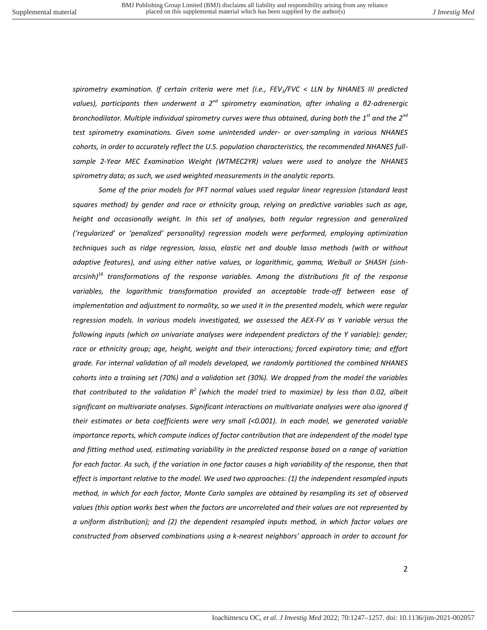*spirometry examination. If certain criteria were met (i.e., FEV1/FVC < LLN by NHANES III predicted values), participants then underwent a 2nd spirometry examination, after inhaling a β2-adrenergic bronchodilator. Multiple individual spirometry curves were thus obtained, during both the 1st and the 2nd test spirometry examinations. Given some unintended under- or over-sampling in various NHANES cohorts, in order to accurately reflect the U.S. population characteristics, the recommended NHANES fullsample 2-Year MEC Examination Weight (WTMEC2YR) values were used to analyze the NHANES spirometry data; as such, we used weighted measurements in the analytic reports.* 

*Some of the prior models for PFT normal values used regular linear regression (standard least squares method) by gender and race or ethnicity group, relying on predictive variables such as age,*  height and occasionally weight. In this set of analyses, both regular regression and generalized *('regularized' or 'penalized' personality) regression models were performed, employing optimization techniques such as ridge regression, lasso, elastic net and double lasso methods (with or without adaptive features), and using either native values, or logarithmic, gamma, Weibull or SHASH (sinharcsinh)<sup>16</sup> transformations of the response variables. Among the distributions fit of the response variables, the logarithmic transformation provided an acceptable trade-off between ease of implementation and adjustment to normality, so we used it in the presented models, which were regular regression models. In various models investigated, we assessed the AEX-FV as Y variable versus the following inputs (which on univariate analyses were independent predictors of the Y variable): gender;*  race or ethnicity group; age, height, weight and their interactions; forced expiratory time; and effort *grade. For internal validation of all models developed, we randomly partitioned the combined NHANES cohorts into a training set (70%) and a validation set (30%). We dropped from the model the variables that contributed to the validation R<sup>2</sup>(which the model tried to maximize) by less than 0.02, albeit significant on multivariate analyses. Significant interactions on multivariate analyses were also ignored if their estimates or beta coefficients were very small (<0.001). In each model, we generated variable importance reports, which compute indices of factor contribution that are independent of the model type and fitting method used, estimating variability in the predicted response based on a range of variation for each factor. As such, if the variation in one factor causes a high variability of the response, then that effect is important relative to the model. We used two approaches: (1) the independent resampled inputs method, in which for each factor, Monte Carlo samples are obtained by resampling its set of observed values (this option works best when the factors are uncorrelated and their values are not represented by a uniform distribution); and (2) the dependent resampled inputs method, in which factor values are constructed from observed combinations using a k-nearest neighbors' approach in order to account for*